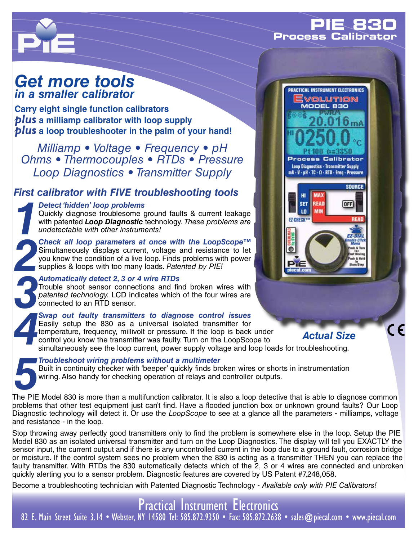## **PIE 830 Process**



# *Get more tools in a smaller calibrator*

**Carry eight single function calibrators** *plus* **a milliamp calibrator with loop supply** *plus* **a loop troubleshooter in the palm of your hand!**

*Milliamp • Voltage • Frequency • pH Ohms • Thermocouples • RTDs • Pressure Loop Diagnostics • Transmitter Supply*

## *First calibrator with FIVE troubleshooting tools*

**1 Detect 'hidden' loop problems**<br> **1** Quickly diagnose troublesome growth patented **Loop Diagnostic** to<br>
undetectable with other instrume<br> **1** Check all loop parameters at Quickly diagnose troublesome ground faults & current leakage with patented *Loop Diagnostic* technology. *These problems are undetectable with other instruments!*

**2 Check all loop parameters at once with the LoopScope™<br>
Simultaneously displays current, voltage and resistance to let<br>
you know the condition of a live loop. Finds problems with power<br>
supplies & loops with too many lo** Simultaneously displays current, voltage and resistance to let you know the condition of a live loop. Finds problems with power supplies & loops with too many loads. *Patented by PIE!*

*3 Automatically detect 2, 3 or 4 wire RTDs*<br> *3 Trouble shoot sensor connections and finded technology.* LCD indicates which connected to an RTD sensor.<br>
Swap out faulty transmitters to diagn Trouble shoot sensor connections and find broken wires with *patented technology.* LCD indicates which of the four wires are connected to an RTD sensor.

**4 Swap out faulty transmitters to diagnose control issues**<br> **4 Easily setup the 830 as a universal isolated transmitter for<br>
temperature, frequency, millivolt or pressure. If the loop is back under<br>
control you know the t** Easily setup the 830 as a universal isolated transmitter for temperature, frequency, millivolt or pressure. If the loop is back under control you know the transmitter was faulty. Turn on the LoopScope to



**5 Troubleshoot wiring problems without a multimeter**<br>**5 Built in continuity checker with 'beeper' quickly finds brewiring. Also handy for checking operation of relays and<br>The PIE Model 830 is more than a multifunction cal** Built in continuity checker with 'beeper' quickly finds broken wires or shorts in instrumentation wiring. Also handy for checking operation of relays and controller outputs.

The PIE Model 830 is more than a multifunction calibrator. It is also a loop detective that is able to diagnose common problems that other test equipment just can't find. Have a flooded junction box or unknown ground faults? Our Loop Diagnostic technology will detect it. Or use the *LoopScope* to see at a glance all the parameters - milliamps, voltage and resistance - in the loop.

Stop throwing away perfectly good transmitters only to find the problem is somewhere else in the loop. Setup the PIE Model 830 as an isolated universal transmitter and turn on the Loop Diagnostics. The display will tell you EXACTLY the sensor input, the current output and if there is any uncontrolled current in the loop due to a ground fault, corrosion bridge or moisture. If the control system sees no problem when the 830 is acting as a transmitter THEN you can replace the faulty transmitter. With RTDs the 830 automatically detects which of the 2, 3 or 4 wires are connected and unbroken quickly alerting you to a sensor problem. Diagnostic features are covered by US Patent #7,248,058.

Become a troubleshooting technician with Patented Diagnostic Technology - *Available only with PIE Calibrators!*



## *Actual Size*

 $\epsilon$ 

Practical Instrument Electronics 82 E. Main Street Suite 3.14 • Webster, NY 14580 Tel: 585.872.9350 • Fax: 585.872.2638 • sales@piecal.com • www.piecal.com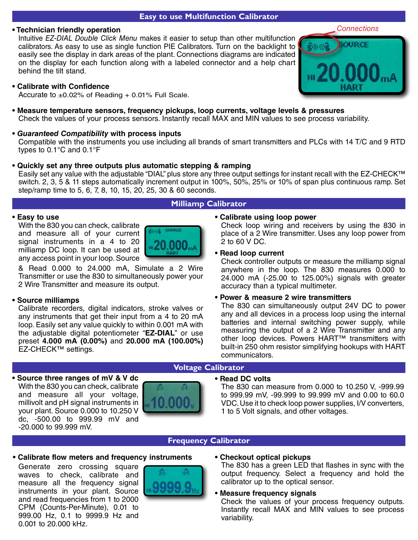#### **Easy to use Multifunction Calibrator**

#### **• Technician friendly operation**

Intuitive *EZ-DIAL Double Click Menu* makes it easier to setup than other multifunction calibrators. As easy to use as single function PIE Calibrators. Turn on the backlight to easily see the display in dark areas of the plant. Connections diagrams are indicated on the display for each function along with a labeled connector and a help chart behind the tilt stand.



*Connections*

#### **• Calibrate with Confidence**

Accurate to  $\pm 0.02\%$  of Reading + 0.01% Full Scale.

- **Measure temperature sensors, frequency pickups, loop currents, voltage levels & pressures** Check the values of your process sensors. Instantly recall MAX and MIN values to see process variability.
- *Guaranteed Compatibility* **with process inputs** Compatible with the instruments you use including all brands of smart transmitters and PLCs with 14 T/C and 9 RTD types to 0.1°C and 0.1°F

### **• Quickly set any three outputs plus automatic stepping & ramping**

Easily set any value with the adjustable "DIAL" plus store any three output settings for instant recall with the EZ-CHECK™ switch. 2, 3, 5 & 11 steps automatically increment output in 100%, 50%, 25% or 10% of span plus continuous ramp. Set step/ramp time to 5, 6, 7, 8, 10, 15, 20, 25, 30 & 60 seconds.

#### **Milliamp Calibrator**

#### **• Easy to use**

With the 830 you can check, calibrate and measure all of your current signal instruments in a 4 to 20 milliamp DC loop. It can be used at any access point in your loop. Source



& Read 0.000 to 24.000 mA, Simulate a 2 Wire Transmitter or use the 830 to simultaneously power your 2 Wire Transmitter and measure its output.

#### **• Source milliamps**

Calibrate recorders, digital indicators, stroke valves or any instruments that get their input from a 4 to 20 mA loop. Easily set any value quickly to within 0.001 mA with the adjustable digital potentiometer "**EZ-DIAL**" or use preset **4.000 mA (0.00%)** and **20.000 mA (100.00%)** EZ-CHECK™ settings.

#### **• Calibrate using loop power**

Check loop wiring and receivers by using the 830 in place of a 2 Wire transmitter. Uses any loop power from 2 to 60 V DC.

#### **• Read loop current**

Check controller outputs or measure the milliamp signal anywhere in the loop. The 830 measures 0.000 to 24.000 mA (-25.00 to 125.00%) signals with greater accuracy than a typical multimeter.

#### **• Power & measure 2 wire transmitters**

The 830 can simultaneously output 24V DC to power any and all devices in a process loop using the internal batteries and internal switching power supply, while measuring the output of a 2 Wire Transmitter and any other loop devices. Powers HART™ transmitters with built-in 250 ohm resistor simplifying hookups with HART communicators.

**• Source three ranges of mV & V dc** With the 830 you can check, calibrate and measure all your voltage, millivolt and pH signal instruments in your plant. Source 0.000 to 10.250 V dc, -500.00 to 999.99 mV and -20.000 to 99.999 mV.



## **Voltage Calibrator**

#### **• Read DC volts**

The 830 can measure from 0.000 to 10.250 V, -999.99 to 999.99 mV, -99.999 to 99.999 mV and 0.00 to 60.0 VDC. Use it to check loop power supplies, I/V converters, 1 to 5 Volt signals, and other voltages.

#### **Frequency Calibrator**

**• Calibrate flow meters and frequency instruments**

Generate zero crossing square waves to check, calibrate and measure all the frequency signal instruments in your plant. Source and read frequencies from 1 to 2000 CPM (Counts-Per-Minute), 0.01 to 999.00 Hz, 0.1 to 9999.9 Hz and 0.001 to 20.000 kHz.



#### **• Checkout optical pickups**

The 830 has a green LED that flashes in sync with the output frequency. Select a frequency and hold the calibrator up to the optical sensor.

#### **• Measure frequency signals**

Check the values of your process frequency outputs. Instantly recall MAX and MIN values to see process variability.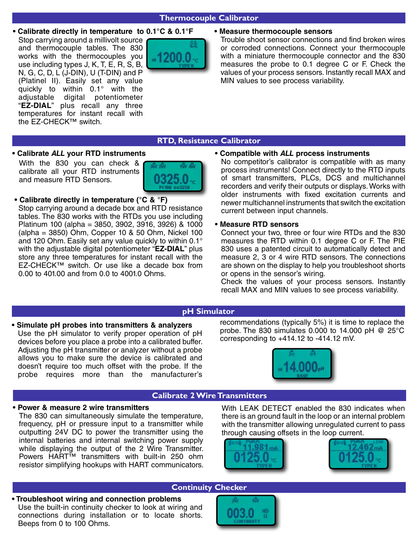#### **Thermocouple Calibrator**

**• Calibrate directly in temperature to 0.1°C & 0.1°F • Measure thermocouple sensors** Stop carrying around a millivolt source and thermocouple tables. The 830 works with the thermocouples you use including types J, K, T, E, R, S, B, N, G, C, D, L (J-DIN), U (T-DIN) and P (Platinel II). Easily set any value quickly to within 0.1° with the adjustable digital potentiometer "**EZ-DIAL**" plus recall any three temperatures for instant recall with the EZ-CHECK™ switch.



Trouble shoot sensor connections and find broken wires or corroded connections. Connect your thermocouple with a miniature thermocouple connector and the 830 measures the probe to 0.1 degree C or F. Check the values of your process sensors. Instantly recall MAX and MIN values to see process variability.

#### **RTD, Resistance Calibrator**

**• Calibrate** *ALL* **your RTD instruments** With the 830 you can check & calibrate all your RTD instruments and measure RTD Sensors.



 **• Calibrate directly in temperature (°C & °F)** Stop carrying around a decade box and RTD resistance tables. The 830 works with the RTDs you use including Platinum 100 (alpha = 3850, 3902, 3916, 3926) & 1000 (alpha = 3850) Ohm, Copper 10 & 50 Ohm, Nickel 100 and 120 Ohm. Easily set any value quickly to within 0.1° with the adjustable digital potentiometer "**EZ-DIAL**" plus store any three temperatures for instant recall with the EZ-CHECK™ switch. Or use like a decade box from 0.00 to 401.00 and from 0.0 to 4001.0 Ohms.

#### **• Compatible with** *ALL* **process instruments**

No competitor's calibrator is compatible with as many process instruments! Connect directly to the RTD inputs of smart transmitters, PLCs, DCS and multichannel recorders and verify their outputs or displays. Works with older instruments with fixed excitation currents and newer multichannel instruments that switch the excitation current between input channels.

#### **• Measure RTD sensors**

Connect your two, three or four wire RTDs and the 830 measures the RTD within 0.1 degree C or F. The PIE 830 uses a patented circuit to automatically detect and measure 2, 3 or 4 wire RTD sensors. The connections are shown on the display to help you troubleshoot shorts or opens in the sensor's wiring.

Check the values of your process sensors. Instantly recall MAX and MIN values to see process variability.

#### **pH Simulator**

**• Simulate pH probes into transmitters & analyzers** Use the pH simulator to verify proper operation of pH devices before you place a probe into a calibrated buffer. Adjusting the pH transmitter or analyzer without a probe allows you to make sure the device is calibrated and doesn't require too much offset with the probe. If the probe requires more than the manufacturer's recommendations (typically 5%) it is time to replace the probe. The 830 simulates 0.000 to 14.000 pH  $@$  25°C corresponding to  $+414.12$  to  $-414.12$  mV.



#### **Calibrate 2 Wire Transmitters**

#### **• Power & measure 2 wire transmitters**

The 830 can simultaneously simulate the temperature, frequency, pH or pressure input to a transmitter while outputting 24V DC to power the transmitter using the internal batteries and internal switching power supply while displaying the output of the 2 Wire Transmitter. Powers HART™ transmitters with built-in 250 ohm resistor simplifying hookups with HART communicators. With LEAK DETECT enabled the 830 indicates when there is an ground fault in the loop or an internal problem with the transmitter allowing unregulated current to pass through causing offsets in the loop current.





### **Continuity Checker**



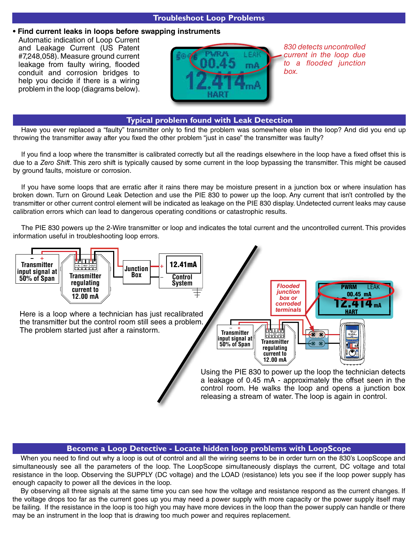#### **Troubleshoot Loop Problems**

#### **• Find current leaks in loops before swapping instruments**

Automatic indication of Loop Current and Leakage Current (US Patent #7,248,058). Measure ground current leakage from faulty wiring, flooded conduit and corrosion bridges to help you decide if there is a wiring problem in the loop (diagrams below).



*830 detects uncontrolled current in the loop due to a flooded junction box.*

#### **Typical problem found with Leak Detection**

Have you ever replaced a "faulty" transmitter only to find the problem was somewhere else in the loop? And did you end up throwing the transmitter away after you fixed the other problem "just in case" the transmitter was faulty?

If you find a loop where the transmitter is calibrated correctly but all the readings elsewhere in the loop have a fixed offset this is due to a *Zero Shift*. This zero shift is typically caused by some current in the loop bypassing the transmitter. This might be caused by ground faults, moisture or corrosion.

If you have some loops that are erratic after it rains there may be moisture present in a junction box or where insulation has broken down. Turn on Ground Leak Detection and use the PIE 830 to power up the loop. Any current that isn't controlled by the transmitter or other current control element will be indicated as leakage on the PIE 830 display. Undetected current leaks may cause calibration errors which can lead to dangerous operating conditions or catastrophic results.

The PIE 830 powers up the 2-Wire transmitter or loop and indicates the total current and the uncontrolled current. This provides information useful in troubleshooting loop errors.



Here is a loop where a technician has just recalibrated the transmitter but the control room still sees a problem. The problem started just after a rainstorm.



Using the PIE 830 to power up the loop the technician detects a leakage of 0.45 mA - approximately the offset seen in the control room. He walks the loop and opens a junction box releasing a stream of water. The loop is again in control.

#### **Become a Loop Detective - Locate hidden loop problems with LoopScope**

When you need to find out why a loop is out of control and all the wiring seems to be in order turn on the 830's LoopScope and simultaneously see all the parameters of the loop. The LoopScope simultaneously displays the current, DC voltage and total resistance in the loop. Observing the SUPPLY (DC voltage) and the LOAD (resistance) lets you see if the loop power supply has enough capacity to power all the devices in the loop.

By observing all three signals at the same time you can see how the voltage and resistance respond as the current changes. If the voltage drops too far as the current goes up you may need a power supply with more capacity or the power supply itself may be failing. If the resistance in the loop is too high you may have more devices in the loop than the power supply can handle or there may be an instrument in the loop that is drawing too much power and requires replacement.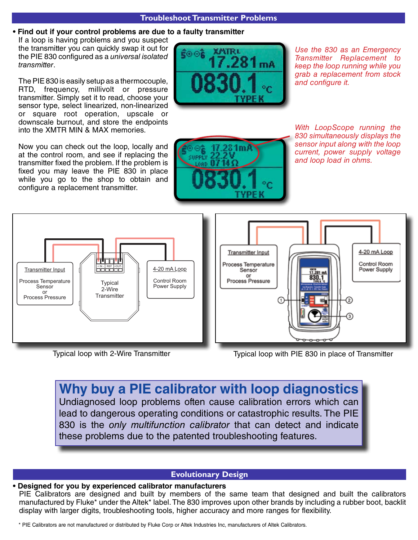#### **Troubleshoot Transmitter Problems**

#### **• Find out if your control problems are due to a faulty transmitter**

If a loop is having problems and you suspect the transmitter you can quickly swap it out for the PIE 830 configured as a *universal isolated transmitter*.

The PIE 830 is easily setup as a thermocouple, RTD, frequency, millivolt or pressure transmitter. Simply set it to read, choose your sensor type, select linearized, non-linearized or square root operation, upscale or downscale burnout, and store the endpoints into the XMTR MIN & MAX memories.

Now you can check out the loop, locally and at the control room, and see if replacing the transmitter fixed the problem. If the problem is fixed you may leave the PIE 830 in place while you go to the shop to obtain and configure a replacement transmitter.



*Use the 830 as an Emergency Transmitter Replacement to keep the loop running while you grab a replacement from stock and configure it.* 



*With LoopScope running the 830 simultaneously displays the sensor input along with the loop current, power supply voltage and loop load in ohms.*





Typical loop with 2-Wire Transmitter Typical loop with PIE 830 in place of Transmitter

## **Why buy a PIE calibrator with loop diagnostics** Undiagnosed loop problems often cause calibration errors which can lead to dangerous operating conditions or catastrophic results. The PIE 830 is the *only multifunction calibrator* that can detect and indicate these problems due to the patented troubleshooting features.

### **Evolutionary Design**

#### **• Designed for you by experienced calibrator manufacturers**

PIE Calibrators are designed and built by members of the same team that designed and built the calibrators manufactured by Fluke\* under the Altek\* label. The 830 improves upon other brands by including a rubber boot, backlit display with larger digits, troubleshooting tools, higher accuracy and more ranges for flexibility.

\* PIE Calibrators are not manufactured or distributed by Fluke Corp or Altek Industries Inc, manufacturers of Altek Calibrators.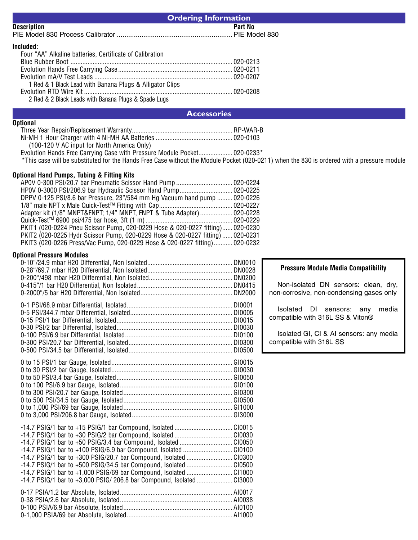| <b>Ordering Information</b>                                                                                                                                                                                                                                                                                                                                                                                                                                  |         |                                                                                                                                             |
|--------------------------------------------------------------------------------------------------------------------------------------------------------------------------------------------------------------------------------------------------------------------------------------------------------------------------------------------------------------------------------------------------------------------------------------------------------------|---------|---------------------------------------------------------------------------------------------------------------------------------------------|
| Description                                                                                                                                                                                                                                                                                                                                                                                                                                                  | Part No |                                                                                                                                             |
|                                                                                                                                                                                                                                                                                                                                                                                                                                                              |         |                                                                                                                                             |
| Included:<br>Four "AA" Alkaline batteries, Certificate of Calibration<br>1 Red & 1 Black Lead with Banana Plugs & Alligator Clips<br>2 Red & 2 Black Leads with Banana Plugs & Spade Lugs                                                                                                                                                                                                                                                                    |         |                                                                                                                                             |
| <b>Accessories</b>                                                                                                                                                                                                                                                                                                                                                                                                                                           |         |                                                                                                                                             |
| <b>Optional</b><br>(100-120 V AC input for North America Only)<br>*This case will be substituted for the Hands Free Case without the Module Pocket (020-0211) when the 830 is ordered with a pressure module                                                                                                                                                                                                                                                 |         |                                                                                                                                             |
| <b>Optional Hand Pumps, Tubing &amp; Fitting Kits</b><br>DPPV 0-125 PSI/8.6 bar Pressure, 23"/584 mm Hg Vacuum hand pump  020-0226<br>Adapter kit (1/8" MNPT&FNPT 1/4" MNPT, FNPT & Tube Adapter)  020-0228<br>PKIT1 (020-0224 Pneu Scissor Pump, 020-0229 Hose & 020-0227 fitting) 020-0230<br>PKIT2 (020-0225 Hydr Scissor Pump, 020-0229 Hose & 020-0227 fitting)  020-0231<br>PKIT3 (020-0226 Press/Vac Pump, 020-0229 Hose & 020-0227 fitting) 020-0232 |         |                                                                                                                                             |
| <b>Optional Pressure Modules</b>                                                                                                                                                                                                                                                                                                                                                                                                                             |         | <b>Pressure Module Media Compatibility</b><br>Non-isolated DN sensors: clean, dry,<br>non-corrosive, non-condensing gases only              |
|                                                                                                                                                                                                                                                                                                                                                                                                                                                              |         | Isolated DI sensors: any<br>media<br>compatible with 316L SS & Viton®<br>Isolated GI, CI & AI sensors: any media<br>compatible with 316L SS |
| -14.7 PSIG/1 bar to +50 PSIG/3.4 bar Compound, Isolated CI0050<br>-14.7 PSIG/1 bar to +100 PSIG/6.9 bar Compound, Isolated CI0100<br>-14.7 PSIG/1 bar to +300 PSIG/20.7 bar Compound, Isolated CI0300<br>-14.7 PSIG/1 bar to +500 PSIG/34.5 bar Compound, Isolated CI0500                                                                                                                                                                                    |         |                                                                                                                                             |
| -14.7 PSIG/1 bar to +1,000 PSIG/69 bar Compound, Isolated CI1000<br>-14.7 PSIG/1 bar to +3,000 PSIG/ 206.8 bar Compound, Isolated CI3000                                                                                                                                                                                                                                                                                                                     |         |                                                                                                                                             |

| . |  |
|---|--|
|   |  |
|   |  |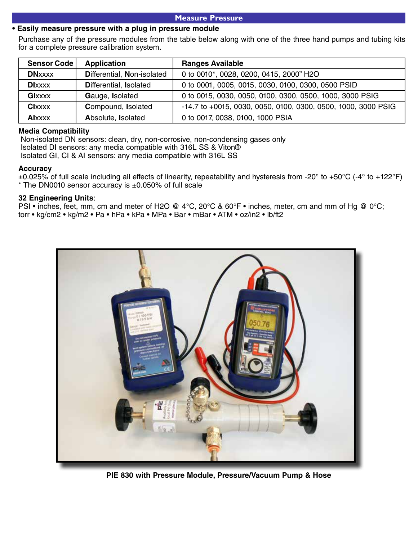#### **Measure Pressure**

#### **• Easily measure pressure with a plug in pressure module**

Purchase any of the pressure modules from the table below along with one of the three hand pumps and tubing kits for a complete pressure calibration system.

| <b>Sensor Code</b> | <b>Application</b>         | <b>Ranges Available</b>                                       |
|--------------------|----------------------------|---------------------------------------------------------------|
| <b>DNxxxx</b>      | Differential, Non-isolated | 0 to 0010*, 0028, 0200, 0415, 2000" H2O                       |
| <b>DIxxxx</b>      | Differential, Isolated     | 0 to 0001, 0005, 0015, 0030, 0100, 0300, 0500 PSID            |
| <b>Glxxxx</b>      | Gauge, Isolated            | 0 to 0015, 0030, 0050, 0100, 0300, 0500, 1000, 3000 PSIG      |
| <b>Clxxxx</b>      | Compound, Isolated         | -14.7 to +0015, 0030, 0050, 0100, 0300, 0500, 1000, 3000 PSIG |
| <b>Alxxxx</b>      | Absolute, Isolated         | 0 to 0017, 0038, 0100, 1000 PSIA                              |

#### **Media Compatibility**

 Non-isolated DN sensors: clean, dry, non-corrosive, non-condensing gases only Isolated DI sensors: any media compatible with 316L SS & Viton® Isolated GI, CI & AI sensors: any media compatible with 316L SS

#### **Accuracy**

 $\pm 0.025\%$  of full scale including all effects of linearity, repeatability and hysteresis from -20° to +50°C (-4° to +122°F) \* The DN0010 sensor accuracy is ±0.050% of full scale

#### **32 Engineering Units**:

PSI • inches, feet, mm, cm and meter of H2O @ 4°C, 20°C & 60°F • inches, meter, cm and mm of Hg @ 0°C; torr • kg/cm2 • kg/m2 • Pa • hPa • kPa • MPa • Bar • mBar • ATM • oz/in2 • lb/ft2



**PIE 830 with Pressure Module, Pressure/Vacuum Pump & Hose**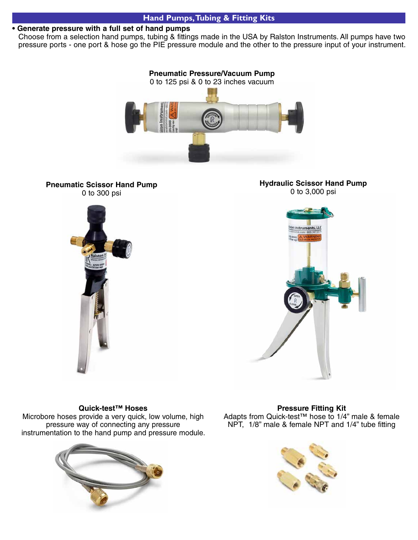#### **Hand Pumps, Tubing & Fitting Kits**

#### **• Generate pressure with a full set of hand pumps**

Choose from a selection hand pumps, tubing & fittings made in the USA by Ralston Instruments. All pumps have two pressure ports - one port & hose go the PIE pressure module and the other to the pressure input of your instrument.



**Pneumatic Scissor Hand Pump** 0 to 300 psi







#### **Quick-test™ Hoses**

Microbore hoses provide a very quick, low volume, high pressure way of connecting any pressure instrumentation to the hand pump and pressure module.



**Pressure Fitting Kit** Adapts from Quick-test™ hose to 1/4" male & female NPT, 1/8" male & female NPT and 1/4" tube fitting

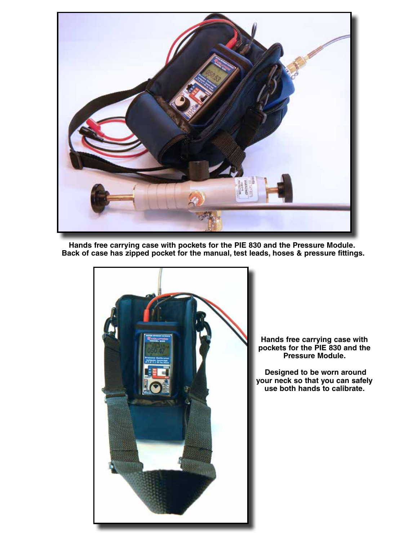

**Hands free carrying case with pockets for the PIE 830 and the Pressure Module. Back of case has zipped pocket for the manual, test leads, hoses & pressure fittings.**



**Hands free carrying case with pockets for the PIE 830 and the Pressure Module.**

 **Designed to be worn around your neck so that you can safely use both hands to calibrate.**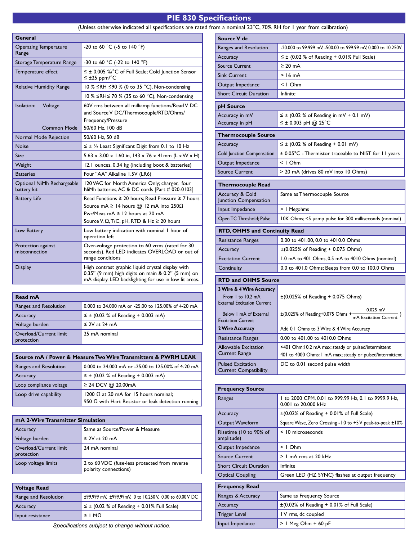### **PIE 830 Specifications**  (Unless otherwise indicated all specifications are rated from a nominal 23°C, 70% RH for 1 year from calibration)

| General                                     |                                                                                                                                                                                                                        |  |  |
|---------------------------------------------|------------------------------------------------------------------------------------------------------------------------------------------------------------------------------------------------------------------------|--|--|
| <b>Operating Temperature</b><br>Range       | -20 to 60 °C (-5 to 140 °F)                                                                                                                                                                                            |  |  |
| Storage Temperature Range                   | -30 to 60 °C (-22 to 140 °F)                                                                                                                                                                                           |  |  |
| Temperature effect                          | $\leq \pm$ 0.005 %/°C of Full Scale; Cold Junction Sensor<br>$\leq \pm 25$ ppm/°C                                                                                                                                      |  |  |
| <b>Relative Humidity Range</b>              | 10 % ≤RH ≤90 % (0 to 35 °C), Non-condensing                                                                                                                                                                            |  |  |
|                                             | 10 % ≤RH≤ 70 % (35 to 60 °C), Non-condensing                                                                                                                                                                           |  |  |
| Isolation:<br>Voltage<br><b>Common Mode</b> | 60V rms between all milliamp functions/Read V DC<br>and Source V DC/Thermocouple/RTD/Ohms/<br>Frequency/Pressure<br>50/60 Hz, 100 dB                                                                                   |  |  |
| Normal Mode Rejection                       | 50/60 Hz, 50 dB                                                                                                                                                                                                        |  |  |
| <b>Noise</b>                                | $\leq \pm \frac{1}{2}$ Least Significant Digit from 0.1 to 10 Hz                                                                                                                                                       |  |  |
| Size                                        | $5.63 \times 3.00 \times 1.60$ in, 143 x 76 x 41mm (L x W x H)                                                                                                                                                         |  |  |
| Weight                                      | 12.1 ounces, 0.34 kg (including boot & batteries)                                                                                                                                                                      |  |  |
| <b>Batteries</b>                            | Four "AA" Alkaline 1.5V (LR6)                                                                                                                                                                                          |  |  |
| Optional NiMh Rechargeable<br>battery kit   | 120 VAC for North America Only; charger, four<br>NiMh batteries, AC & DC cords [Part # 020-0103]                                                                                                                       |  |  |
| <b>Battery Life</b>                         | Read Functions $\geq 20$ hours: Read Pressure $\geq 7$ hours<br>Source mA $\geq$ 14 hours $@$ 12 mA into 250 $\Omega$<br>Pwr/Meas $mA \ge 12$ hours at 20 mA<br>Source V, $\Omega$ , T/C, pH, RTD & Hz $\geq 20$ hours |  |  |
| Low Battery                                 | Low battery indication with nominal I hour of<br>operation left                                                                                                                                                        |  |  |
| Protection against<br>misconnection         | Over-voltage protection to 60 vrms (rated for 30<br>seconds). Red LED indicates OVERLOAD or out of<br>range conditions                                                                                                 |  |  |
| <b>Display</b>                              | High contrast graphic liquid crystal display with<br>0.35" (9 mm) high digits on main & 0.2" (5 mm) on<br>mA display. LED backlighting for use in low lit areas.                                                       |  |  |

| Read mA                              |                                                    |
|--------------------------------------|----------------------------------------------------|
| Ranges and Resolution                | 0.000 to 24.000 mA or -25.00 to 125.00% of 4-20 mA |
| Accuracy                             | $\leq \pm$ (0.02 % of Reading + 0.003 mA)          |
| Voltage burden                       | $\leq$ 2V at 24 mA                                 |
| Overload/Current limit<br>protection | 25 mA nominal                                      |

| Source mA / Power & Measure Two Wire Transmitters & PWRM LEAK         |                                                    |  |  |  |
|-----------------------------------------------------------------------|----------------------------------------------------|--|--|--|
| Ranges and Resolution                                                 | 0.000 to 24.000 mA or -25.00 to 125.00% of 4-20 mA |  |  |  |
| Accuracy                                                              | $\leq \pm$ (0.02 % of Reading + 0.003 mA)          |  |  |  |
| Loop compliance voltage                                               | ≥ 24 DCV @ 20.00mA                                 |  |  |  |
| 1200 $\Omega$ at 20 mA for 15 hours nominal;<br>Loop drive capability |                                                    |  |  |  |
| 950 $\Omega$ with Hart Resistor or leak detection running             |                                                    |  |  |  |

| mA 2-Wire Transmitter Simulation     |                                                                        |  |  |  |
|--------------------------------------|------------------------------------------------------------------------|--|--|--|
| Accuracy                             | Same as Source/Power & Measure                                         |  |  |  |
| Voltage burden                       | $\leq$ 2V at 20 mA                                                     |  |  |  |
| Overload/Current limit<br>protection | 24 mA nominal                                                          |  |  |  |
| Loop voltage limits                  | 2 to 60 VDC (fuse-less protected from reverse<br>polarity connections) |  |  |  |

| ±99.999 mV, ±999.99mV, 0 to 10.250 V, 0.00 to 60.00 V DC |
|----------------------------------------------------------|
|                                                          |
|                                                          |
|                                                          |

Specifications subject to change without notice.

| Source V dc                                                                                    |                                                                                                                  |  |
|------------------------------------------------------------------------------------------------|------------------------------------------------------------------------------------------------------------------|--|
| Ranges and Resolution                                                                          | -20.000 to 99.999 mV, -500.00 to 999.99 mV, 0.000 to 10.250V                                                     |  |
| Accuracy                                                                                       | $\leq \pm$ (0.02 % of Reading + 0.01% Full Scale)                                                                |  |
| <b>Source Current</b>                                                                          | $\geq 20$ mA                                                                                                     |  |
| <b>Sink Current</b>                                                                            | $>16$ mA                                                                                                         |  |
| Output Impedance                                                                               | $< 1$ Ohm                                                                                                        |  |
| <b>Short Circuit Duration</b>                                                                  | Infinite                                                                                                         |  |
| pH Source                                                                                      |                                                                                                                  |  |
| Accuracy in mV<br>Accuracy in pH                                                               | $\leq \pm$ (0.02 % of Reading in mV + 0.1 mV)<br>≤ ± 0.003 pH @ 25°C                                             |  |
| <b>Thermocouple Source</b>                                                                     |                                                                                                                  |  |
| Accuracy                                                                                       | $\leq \pm$ (0.02 % of Reading + 0.01 mV)                                                                         |  |
| Cold Junction Compensation                                                                     | ± 0.05°C - Thermistor traceable to NIST for 11 years                                                             |  |
| Output Impedance                                                                               | < I Ohm                                                                                                          |  |
| <b>Source Current</b>                                                                          | > 20 mA (drives 80 mV into 10 Ohms)                                                                              |  |
| <b>Thermocouple Read</b>                                                                       |                                                                                                                  |  |
| Accuracy & Cold<br>Junction Compensation                                                       | Same as Thermocouple Source                                                                                      |  |
| Input Impedance                                                                                | >   Megohms                                                                                                      |  |
| Open TC Threshold; Pulse                                                                       | 10K Ohms; <5 µamp pulse for 300 milliseconds (nominal)                                                           |  |
| <b>RTD, OHMS and Continuity Read</b>                                                           |                                                                                                                  |  |
| Resistance Ranges                                                                              | 0.00 to 401.00, 0.0 to 4010.0 Ohms                                                                               |  |
| Accuracy                                                                                       | $\pm (0.025\% \text{ of Reading} + 0.075 \text{ Ohms})$                                                          |  |
| <b>Excitation Current</b>                                                                      | 1.0 mA to 401 Ohms, 0.5 mA to 4010 Ohms (nominal)                                                                |  |
| Continuity                                                                                     | 0.0 to 401.0 Ohms; Beeps from 0.0 to 100.0 Ohms                                                                  |  |
| <b>RTD and OHMS Source</b>                                                                     |                                                                                                                  |  |
| <b>3 Wire &amp; 4 Wire Accuracy</b><br>From I to 10.2 mA<br><b>External Excitation Current</b> | $\pm (0.025\% \text{ of Reading } + 0.075 \text{ Ohms})$                                                         |  |
| Below 1 mA of External<br><b>Excitation Current</b>                                            | $\pm$ (0.025% of Reading+0.075 Ohms + $\frac{6.623 \text{ m}}{m}$ Excitation Current                             |  |
| 2 Wire Accuracy                                                                                | Add 0.1 Ohms to 3 Wire & 4 Wire Accuracy                                                                         |  |
| Resistance Ranges                                                                              | 0.00 to 401.00 to 4010.0 Ohms                                                                                    |  |
| <b>Allowable Excitation</b><br>Current Range                                                   | <401 Ohm:10.2 mA max; steady or pulsed/intermittent<br>401 to 4000 Ohms: I mA max; steady or pulsed/intermittent |  |

| <b>Frequency Source</b>              |                                                                            |  |  |
|--------------------------------------|----------------------------------------------------------------------------|--|--|
| Ranges                               | I to 2000 CPM, 0.01 to 999.99 Hz, 0.1 to 9999.9 Hz,<br>0.001 to 20.000 kHz |  |  |
| Accuracy                             | $\pm$ (0.02% of Reading + 0.01% of Full Scale)                             |  |  |
| Output Waveform                      | Square Wave, Zero Crossing -1.0 to +5 V peak-to-peak ±10%                  |  |  |
| Risetime (10 to 90% of<br>amplitude) | $<$ 10 microseconds                                                        |  |  |
| Output Impedance                     | $< 1$ Ohm                                                                  |  |  |
| <b>Source Current</b>                | > 1 mA rms at 20 kHz                                                       |  |  |
| <b>Short Circuit Duration</b>        | Infinite                                                                   |  |  |
| <b>Optical Coupling</b>              | Green LED (HZ SYNC) flashes at output frequency                            |  |  |
| <b>Frequency Read</b>                |                                                                            |  |  |
| Ranges & Accuracy                    | Same as Frequency Source                                                   |  |  |
| Accuracy                             | $\pm$ (0.02% of Reading + 0.01% of Full Scale)                             |  |  |
| Trigger Level                        | IV rms, dc coupled                                                         |  |  |
| Input Impedance                      | > 1 Meg Ohm + 60 pF                                                        |  |  |

DC to 0.01 second pulse width

Pulsed Excitation Current Compatibility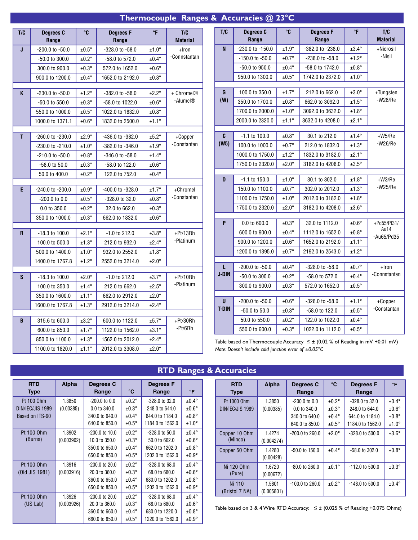# **Thermocouple Ranges & Accuracies @ 23°C**

| T/C | Degrees C<br>Range | $^{\circ}$ C   | <b>Degrees F</b><br>Range         | °F              | T/C<br><b>Material</b>  |
|-----|--------------------|----------------|-----------------------------------|-----------------|-------------------------|
| J   | -200.0 to -50.0    | $±0.5^{\circ}$ | -328.0 to -58.0                   | $±1.0^{\circ}$  | +Iron                   |
|     | -50.0 to 300.0     | $±0.2^\circ$   | -58.0 to 572.0                    | $±0.4^{\circ}$  | -Connstantan            |
|     | 300.0 to 900.0     | $±0.3^\circ$   | 572.0 to 1652.0                   | $±0.6^\circ$    |                         |
|     | 900.0 to 1200.0    | $±0.4^{\circ}$ | 1652.0 to 2192.0                  | $±0.8^\circ$    |                         |
| K   | -230.0 to -50.0    | $±1.2^\circ$   | -382.0 to -58.0                   | $±2.2^{\circ}$  | + Chromel <sup>®</sup>  |
|     | -50.0 to 550.0     | $±0.3^\circ$   | -58.0 to 1022.0                   | $±0.6^\circ$    | -Alumel®                |
|     | 550.0 to 1000.0    | $±0.5^\circ$   | 1022.0 to 1832.0                  | $±0.8^\circ$    |                         |
|     | 1000.0 to 1371.1   | $±0.6^{\circ}$ | 1832.0 to 2500.0                  | ±1.1°           |                         |
|     |                    |                |                                   |                 |                         |
| T   | -260.0 to -230.0   | $±2.9^{\circ}$ | -436.0 to -382.0                  | $±5.2^\circ$    | +Copper                 |
|     | -230.0 to -210.0   | $±1.0^{\circ}$ | -382.0 to -346.0                  | $±1.9^{\circ}$  | -Constantan             |
|     | -210.0 to -50.0    | $±0.8^{\circ}$ | -346.0 to -58.0                   | $±1.4^{\circ}$  |                         |
|     | -58.0 to 50.0      | $±0.3^\circ$   | -58.0 to 122.0                    | $±0.6^{\circ}$  |                         |
|     | 50.0 to 400.0      | $±0.2^{\circ}$ | 122.0 to 752.0                    | $±0.4^{\circ}$  |                         |
|     |                    |                |                                   |                 |                         |
| E.  | -240.0 to -200.0   | $±0.9^{\circ}$ | -400.0 to -328.0                  | ±1.7°           | +Chromel<br>-Constantan |
|     | $-200.0$ to $0.0$  | $±0.5^\circ$   | -328.0 to 32.0                    | $±0.8^\circ$    |                         |
|     | 0.0 to 350.0       | $±0.2^\circ$   | 32.0 to 662.0                     | $±0.3^\circ$    |                         |
|     | 350.0 to 1000.0    | $±0.3^{\circ}$ | 662.0 to 1832.0                   | $±0.6^\circ$    |                         |
| R   | -18.3 to 100.0     | $±2.1^{\circ}$ | $-1.0$ to 212.0                   | $±3.8^\circ$    | +Pt/13Rh                |
|     | 100.0 to 500.0     | $±1.3^\circ$   | 212.0 to 932.0                    | $±2.4^{\circ}$  | -Platinum               |
|     | 500.0 to 1400.0    | $±1.0^\circ$   | 932.0 to 2552.0                   | $±1.8^\circ$    |                         |
|     | 1400.0 to 1767.8   | $±1.2^\circ$   | 2552.0 to 3214.0                  | $±2.0^{\circ}$  |                         |
| S   |                    |                |                                   |                 |                         |
|     | $-18.3$ to $100.0$ | $±2.0^{\circ}$ | $-1.0$ to 212.0<br>212.0 to 662.0 | $±3.7^{\circ}$  | +Pt/10Rh<br>-Platinum   |
|     | 100.0 to 350.0     | $±1.4^\circ$   |                                   | $±2.5^\circ$    |                         |
|     | 350.0 to 1600.0    | $±1.1^{\circ}$ | 662.0 to 2912.0                   | $±2.0^\circ$    |                         |
|     | 1600.0 to 1767.8   | $±1.3^\circ$   | 2912.0 to 3214.0                  | $±2.4^{\circ}$  |                         |
| B   | 315.6 to 600.0     | $±3.2^\circ$   | 600.0 to 1122.0                   | $±5.7^{\circ}$  | +Pt/30Rh                |
|     | 600.0 to 850.0     | $±1.7^{\circ}$ | 1122.0 to 1562.0                  | $±3.1^\circ$    | -Pt/6Rh                 |
|     | 850.0 to 1100.0    | $±1.3^\circ$   | 1562.0 to 2012.0                  | $±2.4^{\circ}$  |                         |
|     | 1100.0 to 1820.0   | $±1.1^{\circ}$ | 2012.0 to 3308.0                  | $\pm 2.0^\circ$ |                         |

| T/C               | Degrees C<br>Range | °C             | <b>Degrees F</b><br>Range | °F                | T/C<br><b>Material</b>   |
|-------------------|--------------------|----------------|---------------------------|-------------------|--------------------------|
| N                 | -230.0 to -150.0   | $±1.9^{\circ}$ | -382.0 to -238.0          | $±3.4^{\circ}$    | +Nicrosil                |
|                   | -150.0 to -50.0    | ±0.7°          | -238.0 to -58.0           | $±1.2^\circ$      | -Nisil                   |
|                   | -50.0 to 950.0     | $±0.4^{\circ}$ | -58.0 to 1742.0           | $±0.8^\circ$      |                          |
|                   | 950.0 to 1300.0    | $±0.5^\circ$   | 1742.0 to 2372.0          | $±1.0^\circ$      |                          |
|                   |                    |                |                           |                   |                          |
| G<br>(W)          | 100.0 to 350.0     | ±1.7°          | 212.0 to 662.0            | $±3.0^{\circ}$    | +Tungsten<br>$-W26/Re$   |
|                   | 350.0 to 1700.0    | $±0.8^\circ$   | 662.0 to 3092.0           | $±1.5^\circ$      |                          |
|                   | 1700.0 to 2000.0   | $±1.0^\circ$   | 3092.0 to 3632.0          | $±1.8^\circ$      |                          |
|                   | 2000.0 to 2320.0   | ±1.1°          | 3632.0 to 4208.0          | $±2.1^{\circ}$    |                          |
| C                 | $-1.1$ to $100.0$  | $±0.8^\circ$   | 30.1 to 212.0             | $±1.4^\circ$      | $+W5/Re$                 |
| (W5)              | 100.0 to 1000.0    | ±0.7°          | 212.0 to 1832.0           | $±1.3^\circ$      | $-W26/Re$                |
|                   | 1000.0 to 1750.0   | $±1.2^\circ$   | 1832.0 to 3182.0          | $±2.1^{\circ}$    |                          |
|                   | 1750.0 to 2320.0   | $±2.0^\circ$   | 3182.0 to 4208.0          | $±3.5^{\circ}$    |                          |
|                   |                    |                |                           |                   |                          |
| D                 | -1.1 to 150.0      | $±1.0^{\circ}$ | 30.1 to 302.0             | $±1.8^\circ$      | $+W3/Re$<br>$-W25/Re$    |
|                   | 150.0 to 1100.0    | $±0.7^{\circ}$ | 302.0 to 2012.0           | $±1.3^\circ$      |                          |
|                   | 1100.0 to 1750.0   | $±1.0^\circ$   | 2012.0 to 3182.0          | $±1.8^\circ$      |                          |
|                   | 1750.0 to 2320.0   | $±2.0^\circ$   | 3182.0 to 4208.0          | $±3.6^{\circ}$    |                          |
| P                 | 0.0 to 600.0       | $±0.3^{\circ}$ | 32.0 to 1112.0            | $±0.6^{\circ}$    | +Pd55/Pt31/              |
|                   | 600.0 to 900.0     | $±0.4^{\circ}$ | 1112.0 to 1652.0          | $\pm 0.8^{\circ}$ | Au14                     |
|                   | 900.0 to 1200.0    | $±0.6^{\circ}$ | 1652.0 to 2192.0          | $±1.1^{\circ}$    | -Au65/Pd35               |
|                   | 1200.0 to 1395.0   | $±0.7^{\circ}$ | 2192.0 to 2543.0          | $±1.2^{\circ}$    |                          |
|                   |                    |                |                           |                   |                          |
| L<br><b>J-DIN</b> | -200.0 to -50.0    | $±0.4^{\circ}$ | -328.0 to -58.0           | ±0.7°             | $+$ Iron<br>-Connstantan |
|                   | -50.0 to 300.0     | $±0.2^{\circ}$ | -58.0 to 572.0            | $±0.4^{\circ}$    |                          |
|                   | 300.0 to 900.0     | $±0.3^\circ$   | 572.0 to 1652.0           | $±0.5^\circ$      |                          |
| U                 | -200.0 to -50.0    | $±0.6^{\circ}$ | -328.0 to -58.0           | $±1.1^{\circ}$    | +Copper                  |
| <b>T-DIN</b>      | -50.0 to 50.0      | $±0.3^\circ$   | -58.0 to 122.0            | $\pm 0.5^{\circ}$ | -Constantan              |
|                   | 50.0 to 550.0      | $±0.2^{\circ}$ | 122.0 to 1022.0           | $±0.4^{\circ}$    |                          |
|                   | 550.0 to 600.0     | $±0.3^\circ$   | 1022.0 to 1112.0          | $±0.5^\circ$      |                          |

Table based on Thermocouple Accuracy  $\leq \pm$  (0.02 % of Reading in mV +0.01 mV) *Note: Doesn't include cold junction error of ±0.05°C*

| <b>RTD Ranges &amp; Accuracies</b> |  |
|------------------------------------|--|
|                                    |  |
|                                    |  |
|                                    |  |

| <b>RTD</b>       | Alpha      | Degrees C          |                | <b>Degrees F</b>   |                |
|------------------|------------|--------------------|----------------|--------------------|----------------|
| <b>Type</b>      |            | Range              | $^{\circ}$ C   | Range              | $\circ$ F      |
| Pt 100 0hm       | 1.3850     | $-200.0$ to $0.0$  | $±0.2^\circ$   | $-328.0$ to $32.0$ | $±0.4^{\circ}$ |
| DIN/IEC/JIS 1989 | (0.00385)  | 0.0 to 340.0       | $±0.3^\circ$   | 248.0 to 644.0     | $±0.6^\circ$   |
| Based on ITS-90  |            | 340.0 to 640.0     | $±0.4^{\circ}$ | 644.0 to 1184.0    | $±0.8^\circ$   |
|                  |            | 640.0 to 850.0     | $±0.5^{\circ}$ | 1184.0 to 1562.0   | $±1.0^\circ$   |
| Pt 100 0hm       | 1.3902     | $-200.0$ to 10.0   | $±0.2^\circ$   | $-328.0$ to $50.0$ | $±0.4^{\circ}$ |
| (Burns)          | (0.003902) | 10.0 to 350.0      | $±0.3^\circ$   | 50.0 to 662.0      | $±0.6^\circ$   |
|                  |            | 350.0 to 650.0     | $±0.4^{\circ}$ | 662.0 to 1202.0    | $±0.8^\circ$   |
|                  |            | 650.0 to 850.0     | $±0.5^{\circ}$ | 1202.0 to 1562.0   | $±0.9^{\circ}$ |
| Pt 100 0hm       | 1.3916     | $-200.0$ to $20.0$ | $±0.2^\circ$   | $-328.0$ to 68.0   | $±0.4^{\circ}$ |
| (Old JIS 1981)   | (0.003916) | 20.0 to 360.0      | $±0.3^\circ$   | 68.0 to 680.0      | $±0.6^\circ$   |
|                  |            | 360.0 to 650.0     | $±0.4^{\circ}$ | 680.0 to 1202.0    | $±0.8^\circ$   |
|                  |            | 650.0 to 850.0     | $±0.5^{\circ}$ | 1202.0 to 1562.0   | $±0.9^{\circ}$ |
| Pt 100 0hm       | 1.3926     | $-200.0$ to $20.0$ | $±0.2^\circ$   | $-328.0$ to $68.0$ | $±0.4^{\circ}$ |
| (US Lab)         | (0.003926) | 20.0 to 360.0      | $±0.3^\circ$   | 68.0 to 680.0      | $±0.6^\circ$   |
|                  |            | 360.0 to 660.0     | $±0.4^{\circ}$ | 680.0 to 1220.0    | $±0.8^\circ$   |
|                  |            | 660.0 to 850.0     | $±0.5^\circ$   | 1220.0 to 1562.0   | $±0.9^{\circ}$ |

| <b>RTD</b><br><b>Type</b>       | Alpha                | Degrees C<br>Range                                                      | $\circ$ C                                               | <b>Degrees F</b><br>Range                                               | $\circ$ F                                                      |
|---------------------------------|----------------------|-------------------------------------------------------------------------|---------------------------------------------------------|-------------------------------------------------------------------------|----------------------------------------------------------------|
| Pt 1000 0hm<br>DIN/IEC/JIS 1989 | 1.3850<br>(0.00385)  | $-200.0$ to $0.0$<br>$0.0$ to 340.0<br>340.0 to 640.0<br>640.0 to 850.0 | ±0.2°<br>$±0.3^\circ$<br>$±0.4^{\circ}$<br>$±0.5^\circ$ | -328.0 to 32.0<br>248.0 to 644.0<br>644.0 to 1184.0<br>1184.0 to 1562.0 | $±0.4^{\circ}$<br>$±0.6^\circ$<br>$±0.8^\circ$<br>$±1.0^\circ$ |
| Copper 10 Ohm<br>(Minco)        | 1.4274<br>(0.004274) | -200.0 to 260.0                                                         | $±2.0^\circ$                                            | $-328.0$ to 500.0                                                       | $±3.6^\circ$                                                   |
| Copper 50 Ohm                   | 1.4280<br>(0.00428)  | -50.0 to 150.0                                                          | $±0.4^{\circ}$                                          | -58.0 to 302.0                                                          | $±0.8^\circ$                                                   |
| Ni 120 0hm<br>(Pure)            | 1.6720<br>(0.00672)  | $-80.0$ to 260.0                                                        | $±0.1^{\circ}$                                          | $-112.0$ to 500.0                                                       | $±0.3^\circ$                                                   |
| Ni 110<br>(Bristol 7 NA)        | 1.5801<br>(0.005801) | $-100.0$ to 260.0                                                       | $±0.2^\circ$                                            | -148.0 to 500.0                                                         | $±0.4^{\circ}$                                                 |

Table based on 3 & 4 Wire RTD Accuracy:  $\leq \pm$  (0.025 % of Reading +0.075 Ohms)